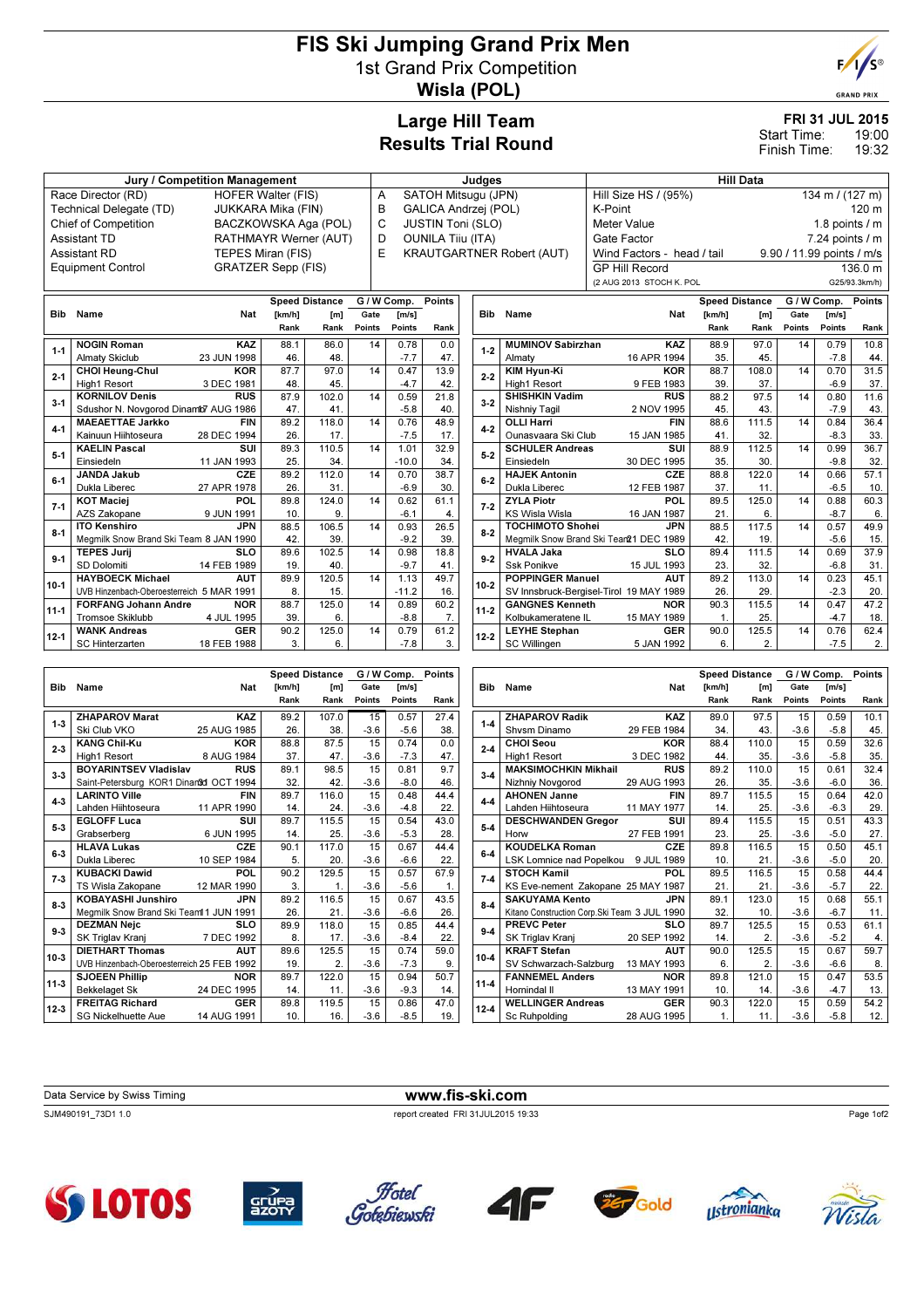## FIS Ski Jumping Grand Prix Men 1st Grand Prix Competition Wisla (POL)



**RAND PRIX** 

## Large Hill Team Results Trial Round

# FRI 31 JUL 2015

10.8 44.

31.5 37.

11.6 43.

36.4 33.

60.3 6.

37.9 31.

45.1 20.

 $62.4$ 

19:00 19:32 Start Time: Finish Time:

| Jury / Competition Management                   |                                           |                           |                      |                          |                                  | Judges                 |                          |         |                                                   |                                            | <b>Hill Data</b>                        |                 |                       |                             |                |                 |
|-------------------------------------------------|-------------------------------------------|---------------------------|----------------------|--------------------------|----------------------------------|------------------------|--------------------------|---------|---------------------------------------------------|--------------------------------------------|-----------------------------------------|-----------------|-----------------------|-----------------------------|----------------|-----------------|
| Race Director (RD)<br><b>HOFER Walter (FIS)</b> |                                           |                           |                      |                          | SATOH Mitsugu (JPN)<br>A         |                        |                          |         |                                                   | 134 m / (127 m)<br>Hill Size HS / (95%)    |                                         |                 |                       |                             |                |                 |
| Technical Delegate (TD)                         |                                           | JUKKARA Mika (FIN)        |                      |                          | B<br><b>GALICA Andrzej (POL)</b> |                        |                          | K-Point |                                                   |                                            | 120 m                                   |                 |                       |                             |                |                 |
|                                                 | Chief of Competition                      |                           | BACZKOWSKA Aga (POL) |                          |                                  | JUSTIN Toni (SLO)<br>C |                          |         |                                                   | Meter Value                                |                                         |                 |                       | 1.8 points $/$ m            |                |                 |
|                                                 | Assistant TD                              | RATHMAYR Werner (AUT)     |                      |                          | D                                |                        | <b>OUNILA Tiiu (ITA)</b> |         |                                                   |                                            | Gate Factor                             | 7.24 points / m |                       |                             |                |                 |
|                                                 | Assistant RD                              | TEPES Miran (FIS)         |                      |                          | E                                |                        |                          |         |                                                   | <b>KRAUTGARTNER Robert (AUT)</b>           | Wind Factors - head / tail              |                 |                       | 9.90 / 11.99 points / m/s   |                |                 |
|                                                 | <b>Equipment Control</b>                  | <b>GRATZER Sepp (FIS)</b> |                      |                          |                                  |                        |                          |         |                                                   |                                            | <b>GP Hill Record</b>                   |                 |                       |                             |                | 136.0 m         |
|                                                 |                                           |                           |                      |                          |                                  |                        |                          |         |                                                   |                                            | (2 AUG 2013 STOCH K. POL                |                 |                       |                             |                | G25/93.3km/h)   |
|                                                 |                                           |                           |                      | <b>Speed Distance</b>    |                                  |                        |                          |         |                                                   |                                            |                                         |                 |                       |                             |                |                 |
| Bib                                             | Name                                      | Nat                       | [km/h]               |                          | Gate                             | G / W Comp.<br>[m/s]   | <b>Points</b>            |         | Bib                                               | Name                                       | Nat                                     | [km/h]          | <b>Speed Distance</b> | G / W Comp. Points<br>[m/s] |                |                 |
|                                                 |                                           |                           | Rank                 | [ <sub>m</sub> ]<br>Rank | <b>Points</b>                    | Points                 | Rank                     |         |                                                   |                                            |                                         | Rank            | [m]<br>Rank           | Gate<br>Points              | Points         | Rank            |
|                                                 | <b>NOGIN Roman</b>                        | <b>KAZ</b>                | 88.1                 | 86.0                     | 14                               | 0.78                   | 0.0                      |         |                                                   | <b>MUMINOV Sabirzhan</b>                   | <b>KAZ</b>                              | 88.9            | 97.0                  | 14                          | 0.79           | 10.8            |
| $1 - 1$                                         | <b>Almaty Skiclub</b>                     | 23 JUN 1998               | 46.                  | 48                       |                                  | $-7.7$                 | 47.                      |         | $1-2$                                             | Almaty                                     | 16 APR 1994                             | 35.             | 45.                   |                             | $-7.8$         | 44              |
|                                                 | <b>CHOI Heung-Chul</b>                    | <b>KOR</b>                | 87.7                 | 97.0                     | 14                               | 0.47                   | 13.9                     |         |                                                   | <b>KIM Hyun-Ki</b>                         | <b>KOR</b>                              | 88.7            | 108.0                 | 14                          | 0.70           | 31.5            |
| $2 - 1$                                         | High1 Resort                              | 3 DEC 1981                | 48.                  | 45.                      |                                  | $-4.7$                 | 42.                      |         | $2 - 2$                                           | High1 Resort                               | 9 FEB 1983                              | 39.             | 37.                   |                             | $-6.9$         | 37.             |
| $3 - 1$                                         | <b>KORNILOV Denis</b>                     | <b>RUS</b>                | 87.9                 | 102.0                    | 14                               | 0.59                   | 21.8                     |         | $3 - 2$                                           | <b>SHISHKIN Vadim</b>                      | <b>RUS</b>                              | 88.2            | 97.5                  | 14                          | 0.80           | 11.6            |
|                                                 | Sdushor N. Novgorod Dinamb7 AUG 1986      |                           | 47.                  | 41                       |                                  | $-5.8$                 | 40.                      |         |                                                   | Nishniy Tagil                              | 2 NOV 1995                              | 45.             | 43.                   |                             | $-7.9$         | 43              |
| $4 - 1$                                         | <b>MAEAETTAE Jarkko</b>                   | <b>FIN</b>                | 89.2                 | 118.0                    | 14                               | 0.76                   | 48.9                     |         | $4 - 2$                                           | <b>OLLI Harri</b>                          | <b>FIN</b>                              | 88.6            | 111.5                 | 14                          | 0.84           | 36.4            |
|                                                 | Kainuun Hiihtoseura                       | 28 DEC 1994               | 26.                  | 17.                      |                                  | $-7.5$                 | 17.                      |         |                                                   | Ounasvaara Ski Club                        | 15 JAN 1985                             | 41.             | 32.                   |                             | $-8.3$         | 33.             |
| $5-1$                                           | <b>KAELIN Pascal</b>                      | SUI                       | 89.3                 | 110.5                    | 14                               | 1.01                   | 32.9                     |         | $5-2$                                             | <b>SCHULER Andreas</b>                     | SUI                                     | 88.9            | 112.5                 | 14                          | 0.99           | 36.7            |
|                                                 | Einsiedeln                                | 11 JAN 1993               | 25.                  | 34                       |                                  | $-10.0$                | 34.                      |         |                                                   | Einsiedeln                                 | 30 DEC 1995                             | 35.             | 30.                   |                             | $-9.8$         | 32              |
| $6 - 1$                                         | <b>JANDA Jakub</b>                        | CZE                       | 89.2                 | 112.0                    | 14                               | 0.70                   | 38.7                     |         | $6-2$                                             | <b>HAJEK Antonin</b>                       | CZE                                     | 88.8            | 122.0                 | 14                          | 0.66           | 57.1            |
|                                                 | Dukla Liberec                             | 27 APR 1978               | 26.                  | 31                       |                                  | $-6.9$                 | 30.                      |         |                                                   | Dukla Liberec                              | 12 FEB 1987                             | 37.             | 11.                   |                             | $-6.5$         | 10 <sub>1</sub> |
| $7 - 1$                                         | <b>KOT Maciei</b><br>AZS Zakopane         | POL<br>9 JUN 1991         | 89.8<br>10.          | 124.0<br>9.              | 14                               | 0.62<br>$-6.1$         | 61.1<br>4.               |         | $7-2$                                             | <b>ZYLA Piotr</b><br><b>KS Wisla Wisla</b> | POL<br>16 JAN 1987                      | 89.5<br>21.     | 125.0<br>6.           | 14                          | 0.88<br>$-8.7$ | 60.3<br>6       |
|                                                 | <b>ITO Kenshiro</b>                       | <b>JPN</b>                | 88.5                 | 106.5                    | 14                               | 0.93                   | 26.5                     |         |                                                   | <b>TOCHIMOTO Shohei</b>                    | <b>JPN</b>                              | 88.5            | 117.5                 | 14                          | 0.57           | 49.9            |
| $8 - 1$                                         | Megmilk Snow Brand Ski Team 8 JAN 1990    |                           | 42.                  | 39                       |                                  | $-9.2$                 | 39.                      |         | $8 - 2$<br>Megmilk Snow Brand Ski Tear21 DEC 1989 |                                            |                                         | 42.             | 19.                   |                             | $-5.6$         | 15              |
|                                                 | <b>TEPES Jurii</b>                        | <b>SLO</b>                | 89.6                 | 102.5                    | 14                               | 0.98                   | 18.8                     |         |                                                   | <b>HVALA Jaka</b>                          | SLO                                     | 89.4            | 111.5                 | 14                          | 0.69           | 37.9            |
| $9-1$                                           | SD Dolomiti                               | 14 FEB 1989               | 19.                  | 40                       |                                  | $-9.7$                 | 41.                      |         | $9-2$                                             | <b>Ssk Ponikve</b>                         | 15 JUL 1993                             | 23.             | 32.                   |                             | $-6.8$         | 31              |
|                                                 | <b>HAYBOECK Michael</b>                   | <b>AUT</b>                | 89.9                 | 120.5                    | 14                               | 1.13                   | 49.7                     |         |                                                   | <b>POPPINGER Manuel</b>                    | <b>AUT</b>                              | 89.2            | 113.0                 | 14                          | 0.23           | 45.1            |
| $10-1$                                          | UVB Hinzenbach-Oberoesterreich 5 MAR 1991 |                           | 8.                   | 15.                      |                                  | $-11.2$                | 16.                      |         | $10-2$                                            |                                            | SV Innsbruck-Bergisel-Tirol 19 MAY 1989 | 26.             | 29.                   |                             | $-2.3$         | 20              |
| $11 - 1$                                        | <b>FORFANG Johann Andre</b>               | <b>NOR</b>                | 88.7                 | 125.0                    | 14                               | 0.89                   | 60.2                     |         | $11-2$                                            | <b>GANGNES Kenneth</b>                     | <b>NOR</b>                              | 90.3            | 115.5                 | $\overline{14}$             | 0.47           | 47.2            |
|                                                 | <b>Tromsoe Skiklubb</b>                   | 4 JUL 1995                | 39.                  | 6.                       |                                  | $-8.8$                 | 7.                       |         |                                                   | Kolbukameratene IL                         | 15 MAY 1989                             | $\mathbf{1}$ .  | 25.                   |                             | $-4.7$         | 18              |
| $12 - 1$                                        | <b>WANK Andreas</b>                       | <b>GER</b>                | 90.2                 | 125.0                    | 14                               | 0.79                   | 61.2                     |         | $12 - 2$                                          | <b>LEYHE Stephan</b>                       | <b>GER</b>                              | 90.0            | 125.5                 | 14                          | 0.76           | 62.4            |
|                                                 | <b>SC Hinterzarten</b>                    | 18 FEB 1988               | 3.                   | 6.                       |                                  | $-7.8$                 | 3.                       |         |                                                   | <b>SC Willingen</b>                        | 5 JAN 1992                              | 6.              | 2.                    |                             | $-7.5$         | $\overline{2}$  |
|                                                 |                                           |                           |                      |                          |                                  |                        |                          |         |                                                   |                                            |                                         |                 |                       |                             |                |                 |
|                                                 |                                           |                           |                      | <b>Speed Distance</b>    |                                  | G / W Comp.            | <b>Points</b>            |         |                                                   |                                            |                                         |                 | <b>Speed Distance</b> |                             | G / W Comp.    | Points          |
| <b>Bib</b>                                      | Name                                      | Nat                       | [km/h]               | [m]                      | Gate                             | [m/s]                  |                          |         | Bib                                               | Name                                       | Nat                                     | [km/h]          | [m]                   | Gate                        | [m/s]          |                 |
|                                                 |                                           |                           | Rank                 | Rank                     | Points                           | Points                 | Rank                     |         |                                                   |                                            |                                         | Rank            | Rank                  | Points                      | Points         | Rank            |

15 -3.6

15 -3.6

15 -3.6

15 -3.6

15 -3.6

15 -3.6

15 -3.6

15 -3.6

15 -3.6

15 -3.6

15 -3.6

15 -3.6  0.57 -5.6

 0.74 -7.3

 0.81 -8.0

 0.48 -4.8

 0.54 -5.3

 0.67 -6.6

 0.57 -5.6

 0.67 -6.6

 0.85 -8.4

 0.74 -7.3

 0.94 -9.3

 0.86 -8.5 27.4 38.

> $0.0$ 47.

9.7 46.

44.4 22.

43.0 28.

44.4 22.

67.9 1.

43.5 26.

44.4 22.

59.0 9.

50.7 14.

47.0 19.

|            | <b>SC Willingen</b>                           | 5 JAN 1992  | 6.     | 2.                    |        | $-7.5$      | 2.            |
|------------|-----------------------------------------------|-------------|--------|-----------------------|--------|-------------|---------------|
|            |                                               |             |        |                       |        |             |               |
|            |                                               |             |        | <b>Speed Distance</b> |        | G / W Comp. | <b>Points</b> |
| <b>Bib</b> | Name                                          | Nat         | [km/h] | [m]                   | Gate   | [m/s]       |               |
|            |                                               |             | Rank   | Rank                  | Points | Points      | Rank          |
| $1 - 4$    | <b>ZHAPAROV Radik</b>                         | KAZ         | 89.0   | 97.5                  | 15     | 0.59        | 10.1          |
|            | Shysm Dinamo                                  | 29 FEB 1984 | 34.    | 43.                   | $-3.6$ | $-5.8$      | 45.           |
| $2 - 4$    | <b>CHOI Seou</b>                              | <b>KOR</b>  | 88.4   | 110.0                 | 15     | 0.59        | 32.6          |
|            | <b>High1 Resort</b>                           | 3 DEC 1982  | 44.    | 35.                   | $-3.6$ | $-5.8$      | 35.           |
| $3 - 4$    | <b>MAKSIMOCHKIN Mikhail</b>                   | <b>RUS</b>  | 89.2   | 110.0                 | 15     | 0.61        | 32.4          |
|            | Nizhniy Novgorod                              | 29 AUG 1993 | 26.    | 35.                   | $-3.6$ | $-6.0$      | 36.           |
| $4-4$      | <b>AHONEN Janne</b>                           | <b>FIN</b>  | 89.7   | 115.5                 | 15     | 0.64        | 42.0          |
|            | Lahden Hiihtoseura                            | 11 MAY 1977 | 14.    | 25.                   | $-3.6$ | $-6.3$      | 29.           |
| $5-4$      | <b>DESCHWANDEN Gregor</b>                     | SUI         | 89.4   | 115.5                 | 15     | 0.51        | 43.3          |
|            | Horw                                          | 27 FEB 1991 | 23.    | 25.                   | $-3.6$ | $-5.0$      | 27.           |
| $6-4$      | <b>KOUDELKA Roman</b>                         | CZE         | 89.8   | 116.5                 | 15     | 0.50        | 45.1          |
|            | <b>LSK Lomnice nad Popelkou</b>               | 9 JUL 1989  | 10.    | 21.                   | $-3.6$ | $-5.0$      | 20.           |
| $7-4$      | <b>STOCH Kamil</b>                            | <b>POL</b>  | 89.5   | 116.5                 | 15     | 0.58        | 44.4          |
|            | KS Eve-nement Zakopane 25 MAY 1987            |             | 21.    | 21.                   | $-3.6$ | $-5.7$      | 22.           |
| $8 - 4$    | SAKUYAMA Kento                                | <b>JPN</b>  | 89.1   | 123.0                 | 15     | 0.68        | 55.1          |
|            | Kitano Construction Corp. Ski Team 3 JUL 1990 |             | 32.    | 10.                   | $-3.6$ | $-6.7$      | 11.           |
| $9-4$      | <b>PREVC Peter</b>                            | <b>SLO</b>  | 89.7   | 125.5                 | 15     | 0.53        | 61.1          |
|            | SK Triglav Kranj                              | 20 SEP 1992 | 14.    | 2.                    | $-3.6$ | $-5.2$      | 4.            |
| $10 - 4$   | <b>KRAFT Stefan</b>                           | <b>AUT</b>  | 90.0   | 125.5                 | 15     | 0.67        | 59.7          |
|            | SV Schwarzach-Salzburg                        | 13 MAY 1993 | 6.     | 2.                    | $-3.6$ | $-6.6$      | 8.            |
| $11 - 4$   | <b>FANNEMEL Anders</b>                        | <b>NOR</b>  | 89.8   | 121.0                 | 15     | 0.47        | 53.5          |
|            | Hornindal II                                  | 13 MAY 1991 | 10.    | 14.                   | $-3.6$ | $-4.7$      | 13.           |
| $12 - 4$   | <b>WELLINGER Andreas</b>                      | <b>GER</b>  | 90.3   | 122.0                 | 15     | 0.59        | 54.2          |
|            | Sc Ruhpolding                                 | 28 AUG 1995 | 1.     | 11.                   | $-3.6$ | $-5.8$      | 12.           |
|            |                                               |             |        |                       |        |             |               |

| Data Service by Swiss Timing | www.fis-ski.com                    |
|------------------------------|------------------------------------|
| SJM490191 73D1 1.0           | report created FRI 31JUL2015 19:33 |

KAZ 25 AUG 1985

**KOR** 8 AUG 1984

RUS

**FIN** 11 APR 1990

 $\overline{\mathsf{s}}$ ui 6 JUN 1995

**CZE** 10 SEP 1984

POL 12 MAR 1990

JPN

SLO 7 DEC 1992

**AUT** 

**NOR** 24 DEC 1995

GER 14 AUG 1991 89.2 107.0 26. 38.

 $\begin{array}{|c|c|c|}\n \hline\n 88.8 & 87.5 \\
 \hline\n 37 & 47\n \end{array}$ 37. 47.

89.1 98.5  $32.$  42.

 $89.7$  116.0  $14. | 24.$ 

89.7 115.5  $14$  25

90.1 117.0  $5.$  20.

90.2 129.5  $3.1 \t1.1$ 

 $\begin{array}{|c|c|c|}\n\hline\n89.2 & 116.5 \\
26. & 21.\n\end{array}$ 26. 21.

89.9 118.0  $8.$  17.

89.6 125.5  $\begin{array}{|c|c|c|}\n\hline\n & 19. & 2 \\
\hline\n89.7 & 122.0\n\end{array}$ 

89.8 119.5 10. 16.

122.0 14.  $11.$ 





1-3 ZHAPAROV Marat Ski Club VKO

3-3 BOYARINTSEV Vladislav

Saint-Petersburg KOR1 Dinan&d OCT 1994

Megmilk Snow Brand Ski Team 11 JUN 1991

UVB Hinzenbach-Oberoesterreich 25 FEB 1992

2-3 KANG Chil-Ku High1 Resort

4-3 LARINTO Ville Lahden Hiihtoseura

5-3 EGLOFF Luca Grabserberg

6-3 HLAVA Lukas Dukla Liberec

**7-3 KUBACKI Dawid** TS Wisla Zakopane

9-3 DEZMAN Nejc SK Triglav Kranj

11-3 SJOEEN Phillip Bekkelaget Sk

**12-3** FREITAG Richard SG Nickelhuette Aue

10-3 DIETHART Thomas

8-3 KOBAYASHI Junshiro